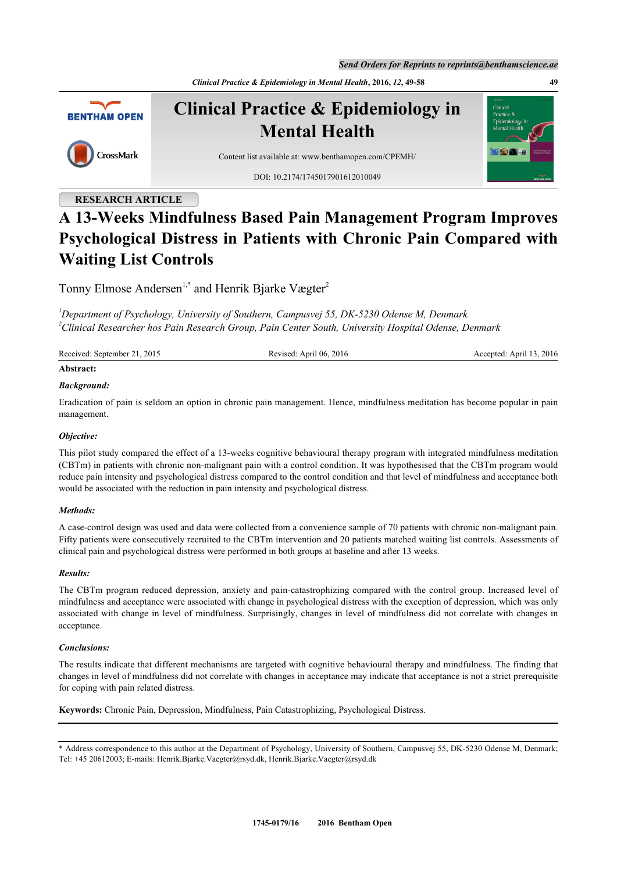*Send Orders for Reprints to reprints@benthamscience.ae*

*Clinical Practice & Epidemiology in Mental Health***, 2016,** *12***, 49-58 49**



**Clinical Practice & Epidemiology in Mental Health**



Content list available at: [www.benthamopen.com/CPEMH/](http://www.benthamopen.com/CPEMH/)

DOI: [10.2174/1745017901612010049](http://dx.doi.org/10.2174/1745017901612010049)

## **RESEARCH ARTICLE**

# **A 13-Weeks Mindfulness Based Pain Management Program Improves Psychological Distress in Patients with Chronic Pain Compared with Waiting List Controls**

Tonny Elmose Andersen<sup>[1](#page-0-0),[\\*](#page-0-1)</sup> and Henrik Bjarke Vægter<sup>[2](#page-0-2)</sup>

<span id="page-0-2"></span><span id="page-0-0"></span>*<sup>1</sup>Department of Psychology, University of Southern, Campusvej 55, DK-5230 Odense M, Denmark <sup>2</sup>Clinical Researcher hos Pain Research Group, Pain Center South, University Hospital Odense, Denmark*

| Received: September 21, 2015 | Revised: April 06, 2016 | Accepted: April 13, 2016 |
|------------------------------|-------------------------|--------------------------|
| Abstract:                    |                         |                          |

## *Background:*

Eradication of pain is seldom an option in chronic pain management. Hence, mindfulness meditation has become popular in pain management.

## *Objective:*

This pilot study compared the effect of a 13-weeks cognitive behavioural therapy program with integrated mindfulness meditation (CBTm) in patients with chronic non-malignant pain with a control condition. It was hypothesised that the CBTm program would reduce pain intensity and psychological distress compared to the control condition and that level of mindfulness and acceptance both would be associated with the reduction in pain intensity and psychological distress.

## *Methods:*

A case-control design was used and data were collected from a convenience sample of 70 patients with chronic non-malignant pain. Fifty patients were consecutively recruited to the CBTm intervention and 20 patients matched waiting list controls. Assessments of clinical pain and psychological distress were performed in both groups at baseline and after 13 weeks.

## *Results:*

The CBTm program reduced depression, anxiety and pain-catastrophizing compared with the control group. Increased level of mindfulness and acceptance were associated with change in psychological distress with the exception of depression, which was only associated with change in level of mindfulness. Surprisingly, changes in level of mindfulness did not correlate with changes in acceptance.

## *Conclusions:*

The results indicate that different mechanisms are targeted with cognitive behavioural therapy and mindfulness. The finding that changes in level of mindfulness did not correlate with changes in acceptance may indicate that acceptance is not a strict prerequisite for coping with pain related distress.

**Keywords:** Chronic Pain, Depression, Mindfulness, Pain Catastrophizing, Psychological Distress.

<span id="page-0-1"></span><sup>\*</sup> Address correspondence to this author at the Department of Psychology, University of Southern, Campusvej 55, DK-5230 Odense M, Denmark; Tel: +45 20612003; E-mails: [Henrik.Bjarke.Vaegter@rsyd.dk](mailto:tandersen@health.sdu.dk), [Henrik.Bjarke.Vaegter@rsyd.dk](mailto:tandersen@health.sdu.dk)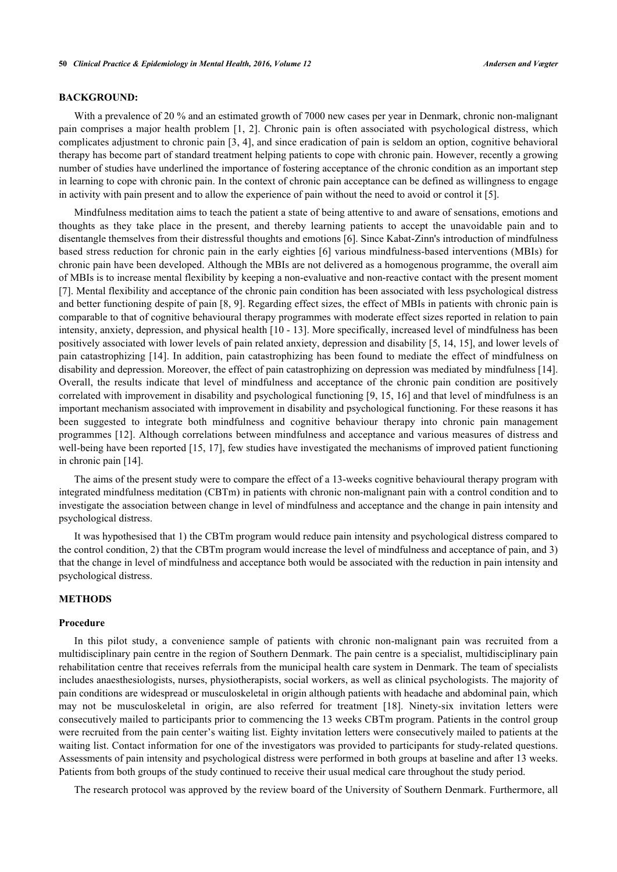#### **BACKGROUND:**

With a prevalence of 20 % and an estimated growth of 7000 new cases per year in Denmark, chronic non-malignant pain comprises a major health problem [[1,](#page-8-0) [2](#page-8-1)]. Chronic pain is often associated with psychological distress, which complicates adjustment to chronic pain [[3,](#page-8-2) [4](#page-8-3)], and since eradication of pain is seldom an option, cognitive behavioral therapy has become part of standard treatment helping patients to cope with chronic pain. However, recently a growing number of studies have underlined the importance of fostering acceptance of the chronic condition as an important step in learning to cope with chronic pain. In the context of chronic pain acceptance can be defined as willingness to engage in activity with pain present and to allow the experience of pain without the need to avoid or control it [\[5](#page-8-4)].

Mindfulness meditation aims to teach the patient a state of being attentive to and aware of sensations, emotions and thoughts as they take place in the present, and thereby learning patients to accept the unavoidable pain and to disentangle themselves from their distressful thoughts and emotions [[6\]](#page-8-5). Since Kabat-Zinn's introduction of mindfulness based stress reduction for chronic pain in the early eighties [\[6](#page-8-5)] various mindfulness-based interventions (MBIs) for chronic pain have been developed. Although the MBIs are not delivered as a homogenous programme, the overall aim of MBIs is to increase mental flexibility by keeping a non-evaluative and non-reactive contact with the present moment [\[7](#page-8-6)]. Mental flexibility and acceptance of the chronic pain condition has been associated with less psychological distress and better functioning despite of pain [\[8,](#page-8-7) [9\]](#page-8-8). Regarding effect sizes, the effect of MBIs in patients with chronic pain is comparable to that of cognitive behavioural therapy programmes with moderate effect sizes reported in relation to pain intensity, anxiety, depression, and physical health [[10](#page-8-9) - [13\]](#page-8-10). More specifically, increased level of mindfulness has been positively associated with lower levels of pain related anxiety, depression and disability [\[5](#page-8-4), [14,](#page-8-11) [15\]](#page-8-12), and lower levels of pain catastrophizing [\[14](#page-8-11)]. In addition, pain catastrophizing has been found to mediate the effect of mindfulness on disability and depression. Moreover, the effect of pain catastrophizing on depression was mediated by mindfulness [[14\]](#page-8-11). Overall, the results indicate that level of mindfulness and acceptance of the chronic pain condition are positively correlated with improvement in disability and psychological functioning [[9](#page-8-8), [15](#page-8-12), [16\]](#page-8-13) and that level of mindfulness is an important mechanism associated with improvement in disability and psychological functioning. For these reasons it has been suggested to integrate both mindfulness and cognitive behaviour therapy into chronic pain management programmes [\[12\]](#page-8-14). Although correlations between mindfulness and acceptance and various measures of distress and well-being have been reported [[15,](#page-8-12) [17](#page-8-15)], few studies have investigated the mechanisms of improved patient functioning in chronic pain [[14\]](#page-8-11).

The aims of the present study were to compare the effect of a 13-weeks cognitive behavioural therapy program with integrated mindfulness meditation (CBTm) in patients with chronic non-malignant pain with a control condition and to investigate the association between change in level of mindfulness and acceptance and the change in pain intensity and psychological distress.

It was hypothesised that 1) the CBTm program would reduce pain intensity and psychological distress compared to the control condition, 2) that the CBTm program would increase the level of mindfulness and acceptance of pain, and 3) that the change in level of mindfulness and acceptance both would be associated with the reduction in pain intensity and psychological distress.

## **METHODS**

#### **Procedure**

In this pilot study, a convenience sample of patients with chronic non-malignant pain was recruited from a multidisciplinary pain centre in the region of Southern Denmark. The pain centre is a specialist, multidisciplinary pain rehabilitation centre that receives referrals from the municipal health care system in Denmark. The team of specialists includes anaesthesiologists, nurses, physiotherapists, social workers, as well as clinical psychologists. The majority of pain conditions are widespread or musculoskeletal in origin although patients with headache and abdominal pain, which may not be musculoskeletal in origin, are also referred for treatment [\[18](#page-8-16)]. Ninety-six invitation letters were consecutively mailed to participants prior to commencing the 13 weeks CBTm program. Patients in the control group were recruited from the pain center's waiting list. Eighty invitation letters were consecutively mailed to patients at the waiting list. Contact information for one of the investigators was provided to participants for study-related questions. Assessments of pain intensity and psychological distress were performed in both groups at baseline and after 13 weeks. Patients from both groups of the study continued to receive their usual medical care throughout the study period.

The research protocol was approved by the review board of the University of Southern Denmark. Furthermore, all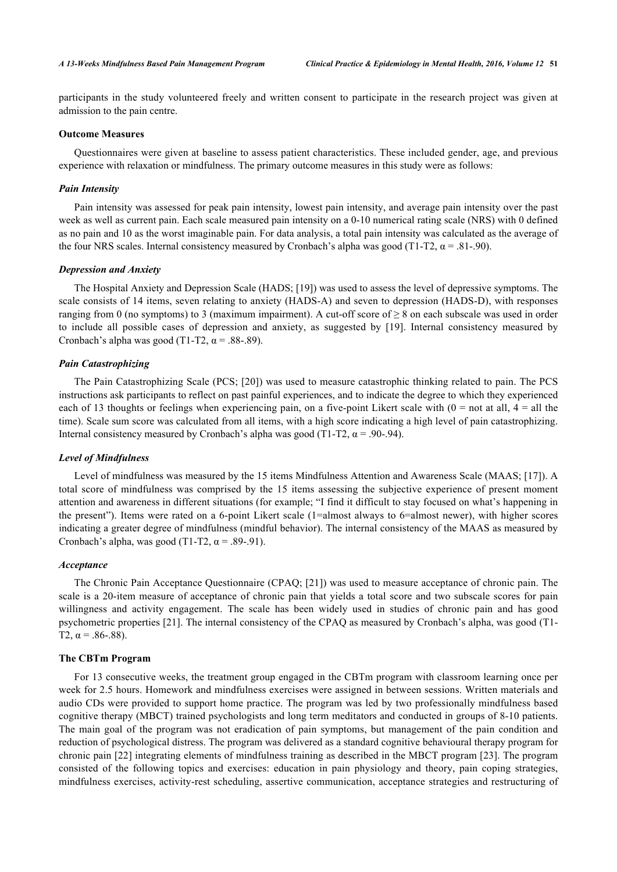participants in the study volunteered freely and written consent to participate in the research project was given at admission to the pain centre.

### **Outcome Measures**

Questionnaires were given at baseline to assess patient characteristics. These included gender, age, and previous experience with relaxation or mindfulness. The primary outcome measures in this study were as follows:

#### *Pain Intensity*

Pain intensity was assessed for peak pain intensity, lowest pain intensity, and average pain intensity over the past week as well as current pain. Each scale measured pain intensity on a 0-10 numerical rating scale (NRS) with 0 defined as no pain and 10 as the worst imaginable pain. For data analysis, a total pain intensity was calculated as the average of the four NRS scales. Internal consistency measured by Cronbach's alpha was good (T1-T2,  $\alpha$  = .81-.90).

#### *Depression and Anxiety*

The Hospital Anxiety and Depression Scale (HADS; [[19\]](#page-8-17)) was used to assess the level of depressive symptoms. The scale consists of 14 items, seven relating to anxiety (HADS-A) and seven to depression (HADS-D), with responses ranging from 0 (no symptoms) to 3 (maximum impairment). A cut-off score of  $\geq 8$  on each subscale was used in order to include all possible cases of depression and anxiety, as suggested by[[19\]](#page-8-17). Internal consistency measured by Cronbach's alpha was good (T1-T2,  $\alpha$  = .88-.89).

## *Pain Catastrophizing*

The Pain Catastrophizing Scale (PCS; [\[20\]](#page-8-18)) was used to measure catastrophic thinking related to pain. The PCS instructions ask participants to reflect on past painful experiences, and to indicate the degree to which they experienced each of 13 thoughts or feelings when experiencing pain, on a five-point Likert scale with  $(0 = not at all, 4 = all the$ time). Scale sum score was calculated from all items, with a high score indicating a high level of pain catastrophizing. Internal consistency measured by Cronbach's alpha was good (T1-T2,  $\alpha$  = .90-.94).

#### *Level of Mindfulness*

Level of mindfulness was measured by the 15 items Mindfulness Attention and Awareness Scale (MAAS; [\[17](#page-8-15)]). A total score of mindfulness was comprised by the 15 items assessing the subjective experience of present moment attention and awareness in different situations (for example; "I find it difficult to stay focused on what's happening in the present"). Items were rated on a 6-point Likert scale (1=almost always to 6=almost newer), with higher scores indicating a greater degree of mindfulness (mindful behavior). The internal consistency of the MAAS as measured by Cronbach's alpha, was good (T1-T2,  $\alpha$  = .89-.91).

## *Acceptance*

The Chronic Pain Acceptance Questionnaire (CPAQ; [\[21](#page-8-19)]) was used to measure acceptance of chronic pain. The scale is a 20-item measure of acceptance of chronic pain that yields a total score and two subscale scores for pain willingness and activity engagement. The scale has been widely used in studies of chronic pain and has good psychometric properties [[21\]](#page-8-19). The internal consistency of the CPAQ as measured by Cronbach's alpha, was good (T1- T2,  $\alpha$  = .86-.88).

#### **The CBTm Program**

For 13 consecutive weeks, the treatment group engaged in the CBTm program with classroom learning once per week for 2.5 hours. Homework and mindfulness exercises were assigned in between sessions. Written materials and audio CDs were provided to support home practice. The program was led by two professionally mindfulness based cognitive therapy (MBCT) trained psychologists and long term meditators and conducted in groups of 8-10 patients. The main goal of the program was not eradication of pain symptoms, but management of the pain condition and reduction of psychological distress. The program was delivered as a standard cognitive behavioural therapy program for chronic pain [[22](#page-9-0)] integrating elements of mindfulness training as described in the MBCT program [[23\]](#page-9-1). The program consisted of the following topics and exercises: education in pain physiology and theory, pain coping strategies, mindfulness exercises, activity-rest scheduling, assertive communication, acceptance strategies and restructuring of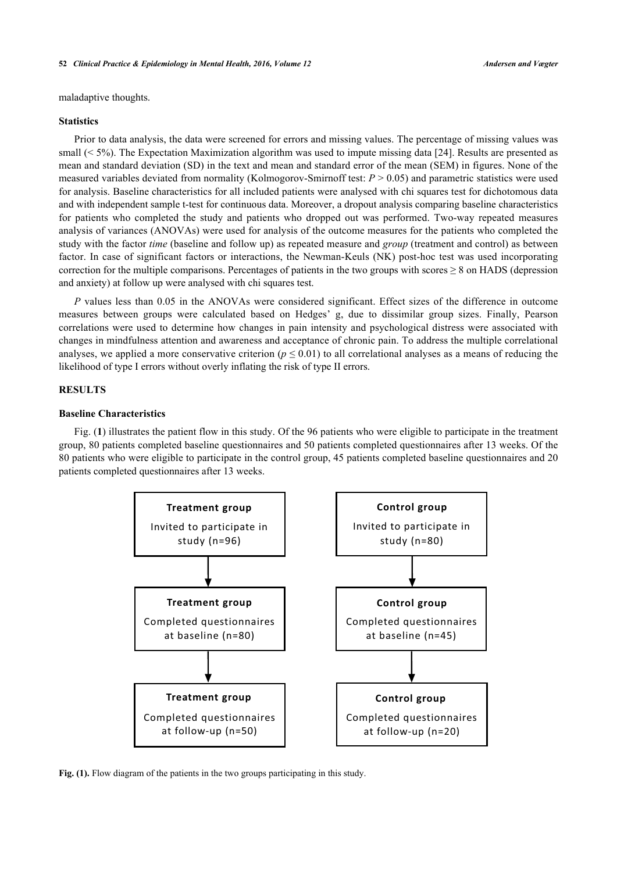maladaptive thoughts.

#### **Statistics**

Prior to data analysis, the data were screened for errors and missing values. The percentage of missing values was small (< 5%). The Expectation Maximization algorithm was used to impute missing data [[24\]](#page-9-2). Results are presented as mean and standard deviation (SD) in the text and mean and standard error of the mean (SEM) in figures. None of the measured variables deviated from normality (Kolmogorov-Smirnoff test: *P* > 0.05) and parametric statistics were used for analysis. Baseline characteristics for all included patients were analysed with chi squares test for dichotomous data and with independent sample t-test for continuous data. Moreover, a dropout analysis comparing baseline characteristics for patients who completed the study and patients who dropped out was performed. Two-way repeated measures analysis of variances (ANOVAs) were used for analysis of the outcome measures for the patients who completed the study with the factor *time* (baseline and follow up) as repeated measure and *group* (treatment and control) as between factor. In case of significant factors or interactions, the Newman-Keuls (NK) post-hoc test was used incorporating correction for the multiple comparisons. Percentages of patients in the two groups with scores  $\geq 8$  on HADS (depression and anxiety) at follow up were analysed with chi squares test.

*P* values less than 0.05 in the ANOVAs were considered significant. Effect sizes of the difference in outcome measures between groups were calculated based on Hedges' g, due to dissimilar group sizes. Finally, Pearson correlations were used to determine how changes in pain intensity and psychological distress were associated with changes in mindfulness attention and awareness and acceptance of chronic pain. To address the multiple correlational analyses, we applied a more conservative criterion ( $p \le 0.01$ ) to all correlational analyses as a means of reducing the likelihood of type I errors without overly inflating the risk of type II errors.

## **RESULTS**

## **Baseline Characteristics**

<span id="page-3-0"></span>Fig. (**[1](#page-3-0)**) illustrates the patient flow in this study. Of the 96 patients who were eligible to participate in the treatment group, 80 patients completed baseline questionnaires and 50 patients completed questionnaires after 13 weeks. Of the 80 patients who were eligible to participate in the control group, 45 patients completed baseline questionnaires and 20 patients completed questionnaires after 13 weeks.



Fig. (1). Flow diagram of the patients in the two groups participating in this study.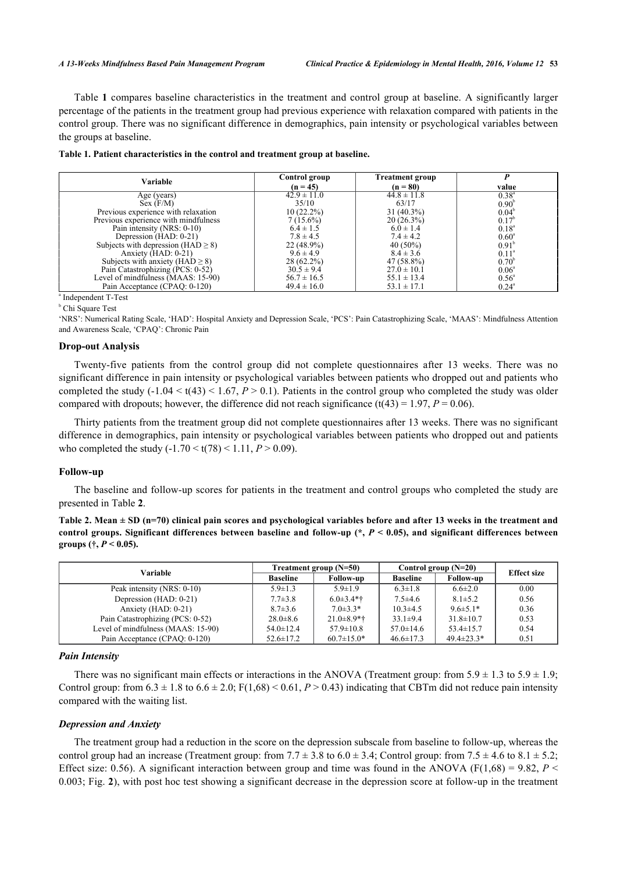Table **[1](#page-4-0)** compares baseline characteristics in the treatment and control group at baseline. A significantly larger percentage of the patients in the treatment group had previous experience with relaxation compared with patients in the control group. There was no significant difference in demographics, pain intensity or psychological variables between the groups at baseline.

<span id="page-4-0"></span>

|  |  | Table 1. Patient characteristics in the control and treatment group at baseline. |  |  |  |  |  |  |  |
|--|--|----------------------------------------------------------------------------------|--|--|--|--|--|--|--|
|--|--|----------------------------------------------------------------------------------|--|--|--|--|--|--|--|

| Variable                                 | Control group   | <b>Treatment group</b> |                   |
|------------------------------------------|-----------------|------------------------|-------------------|
|                                          | $(n = 45)$      | $(n = 80)$             | value             |
| Age (years)                              | $42.9 \pm 11.0$ | $44.8 \pm 11.8$        | $0.38^{a}$        |
| Sex (F/M)                                | 35/10           | 63/17                  | 0.90 <sup>b</sup> |
| Previous experience with relaxation      | $10(22.2\%)$    | $31(40.3\%)$           | $0.04^b$          |
| Previous experience with mindfulness     | $7(15.6\%)$     | $20(26.3\%)$           | $0.17^{\circ}$    |
| Pain intensity (NRS: 0-10)               | $6.4 \pm 1.5$   | $6.0 \pm 1.4$          | $0.18^{a}$        |
| Depression (HAD: 0-21)                   | $7.8 \pm 4.5$   | $7.4 \pm 4.2$          | $0.60^{\circ}$    |
| Subjects with depression ( $HAD \ge 8$ ) | $22(48.9\%)$    | $40(50\%)$             | $0.91^{\circ}$    |
| Anxiety $(HAD: 0-21)$                    | $9.6 \pm 4.9$   | $8.4 \pm 3.6$          | $0.11^{\circ}$    |
| Subjects with anxiety ( $HAD \ge 8$ )    | $28(62.2\%)$    | 47 (58.8%)             | $0.70^{\rm b}$    |
| Pain Catastrophizing (PCS: 0-52)         | $30.5 \pm 9.4$  | $27.0 \pm 10.1$        | $0.06^{\circ}$    |
| Level of mindfulness (MAAS: 15-90)       | $56.7 \pm 16.5$ | $55.1 \pm 13.4$        | $0.56^{\circ}$    |
| Pain Acceptance (CPAQ: 0-120)            | $49.4 \pm 16.0$ | $53.1 \pm 17.1$        | $0.24^{\circ}$    |

a Independent T-Test

b Chi Square Test

'NRS': Numerical Rating Scale, 'HAD': Hospital Anxiety and Depression Scale, 'PCS': Pain Catastrophizing Scale, 'MAAS': Mindfulness Attention and Awareness Scale, 'CPAQ': Chronic Pain

### **Drop-out Analysis**

Twenty-five patients from the control group did not complete questionnaires after 13 weeks. There was no significant difference in pain intensity or psychological variables between patients who dropped out and patients who completed the study  $(-1.04 \le t(43) \le 1.67, P > 0.1)$ . Patients in the control group who completed the study was older compared with dropouts; however, the difference did not reach significance (t(43) = 1.97,  $P = 0.06$ ).

Thirty patients from the treatment group did not complete questionnaires after 13 weeks. There was no significant difference in demographics, pain intensity or psychological variables between patients who dropped out and patients who completed the study  $(-1.70 \le t(78) \le 1.11, P > 0.09)$ .

#### **Follow-up**

The baseline and follow-up scores for patients in the treatment and control groups who completed the study are presented in Table **[2](#page-4-1)**.

<span id="page-4-1"></span>**Table 2. Mean ± SD (n=70) clinical pain scores and psychological variables before and after 13 weeks in the treatment and** control groups. Significant differences between baseline and follow-up (\*,  $P$  < 0.05), and significant differences between groups (†,  $P < 0.05$ ).

| Variable                           |                 | Treatment group $(N=50)$ | Control group $(N=20)$ | <b>Effect size</b> |      |
|------------------------------------|-----------------|--------------------------|------------------------|--------------------|------|
|                                    | <b>Baseline</b> | <b>Follow-up</b>         | <b>Baseline</b>        | <b>Follow-up</b>   |      |
| Peak intensity (NRS: 0-10)         | $5.9 \pm 1.3$   | $5.9 \pm 1.9$            | $6.3 \pm 1.8$          | $6.6 \pm 2.0$      | 0.00 |
| Depression (HAD: 0-21)             | $7.7 \pm 3.8$   | $6.0\pm3.4**$            | $7.5\pm4.6$            | $8.1 \pm 5.2$      | 0.56 |
| Anxiety (HAD: 0-21)                | $8.7 \pm 3.6$   | $7.0\pm3.3*$             | $10.3 \pm 4.5$         | $9.6 \pm 5.1*$     | 0.36 |
| Pain Catastrophizing (PCS: 0-52)   | $28.0 \pm 8.6$  | $21.0\pm8.9*$ †          | $33.1 \pm 9.4$         | $31.8 \pm 10.7$    | 0.53 |
| Level of mindfulness (MAAS: 15-90) | $54.0 \pm 12.4$ | $57.9 \pm 10.8$          | $57.0 \pm 14.6$        | $53.4 \pm 15.7$    | 0.54 |
| Pain Acceptance (CPAQ: 0-120)      | $52.6 \pm 17.2$ | $60.7 \pm 15.0*$         | $46.6 \pm 17.3$        | $49.4 \pm 23.3*$   | 0.51 |

#### *Pain Intensity*

There was no significant main effects or interactions in the ANOVA (Treatment group: from  $5.9 \pm 1.3$  to  $5.9 \pm 1.9$ ; Control group: from  $6.3 \pm 1.8$  to  $6.6 \pm 2.0$ ;  $F(1,68) < 0.61$ ,  $P > 0.43$ ) indicating that CBTm did not reduce pain intensity compared with the waiting list.

#### *Depression and Anxiety*

The treatment group had a reduction in the score on the depression subscale from baseline to follow-up, whereas the control group had an increase (Treatment group: from  $7.7 \pm 3.8$  to  $6.0 \pm 3.4$ ; Control group: from  $7.5 \pm 4.6$  to  $8.1 \pm 5.2$ ; Effect size: 0.56). A significant interaction between group and time was found in the ANOVA ( $F(1,68) = 9.82$ ,  $P \le$ 0.003; Fig. **[2](#page-5-0)**), with post hoc test showing a significant decrease in the depression score at follow-up in the treatment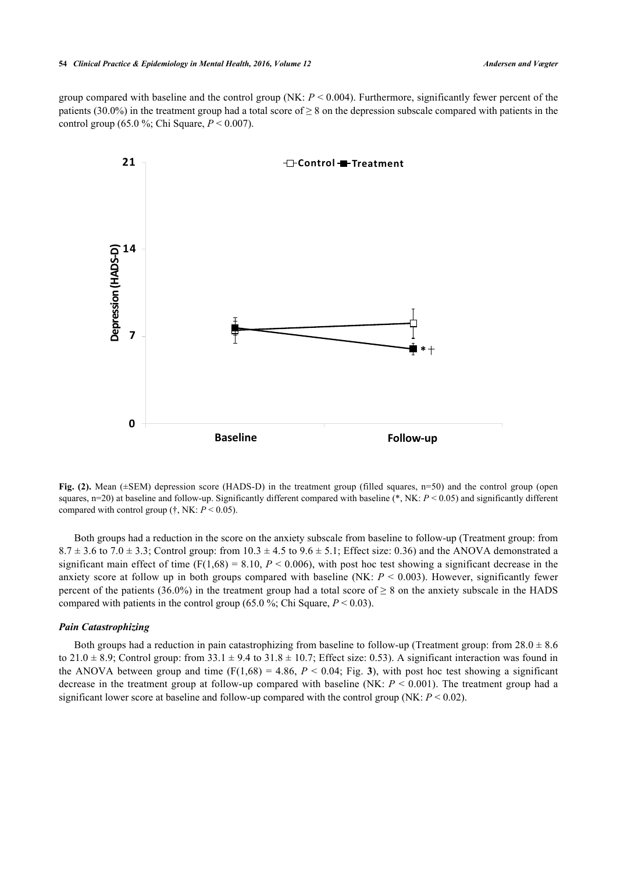<span id="page-5-0"></span>group compared with baseline and the control group (NK: *P* < 0.004). Furthermore, significantly fewer percent of the patients (30.0%) in the treatment group had a total score of  $\geq 8$  on the depression subscale compared with patients in the control group (65.0 %; Chi Square, *P* < 0.007).



**Fig. (2).** Mean ( $\pm$ SEM) depression score (HADS-D) in the treatment group (filled squares, n=50) and the control group (open squares,  $n=20$ ) at baseline and follow-up. Significantly different compared with baseline (\*, NK:  $P < 0.05$ ) and significantly different compared with control group (†, NK:  $P < 0.05$ ).

Both groups had a reduction in the score on the anxiety subscale from baseline to follow-up (Treatment group: from  $8.7 \pm 3.6$  to  $7.0 \pm 3.3$ ; Control group: from  $10.3 \pm 4.5$  to  $9.6 \pm 5.1$ ; Effect size: 0.36) and the ANOVA demonstrated a significant main effect of time  $(F(1,68) = 8.10, P < 0.006)$ , with post hoc test showing a significant decrease in the anxiety score at follow up in both groups compared with baseline (NK:  $P \le 0.003$ ). However, significantly fewer percent of the patients (36.0%) in the treatment group had a total score of  $\geq 8$  on the anxiety subscale in the HADS compared with patients in the control group (65.0 %; Chi Square,  $P < 0.03$ ).

#### *Pain Catastrophizing*

<span id="page-5-1"></span>Both groups had a reduction in pain catastrophizing from baseline to follow-up (Treatment group: from  $28.0 \pm 8.6$ ) to  $21.0 \pm 8.9$ ; Control group: from  $33.1 \pm 9.4$  to  $31.8 \pm 10.7$ ; Effect size: 0.53). A significant interaction was found in the ANOVA between group and time  $(F(1,68) = 4.86, P < 0.04$ ; Fig. [3](#page-5-1)), with post hoc test showing a significant decrease in the treatment group at follow-up compared with baseline (NK: *P* < 0.001). The treatment group had a significant lower score at baseline and follow-up compared with the control group (NK:  $P < 0.02$ ).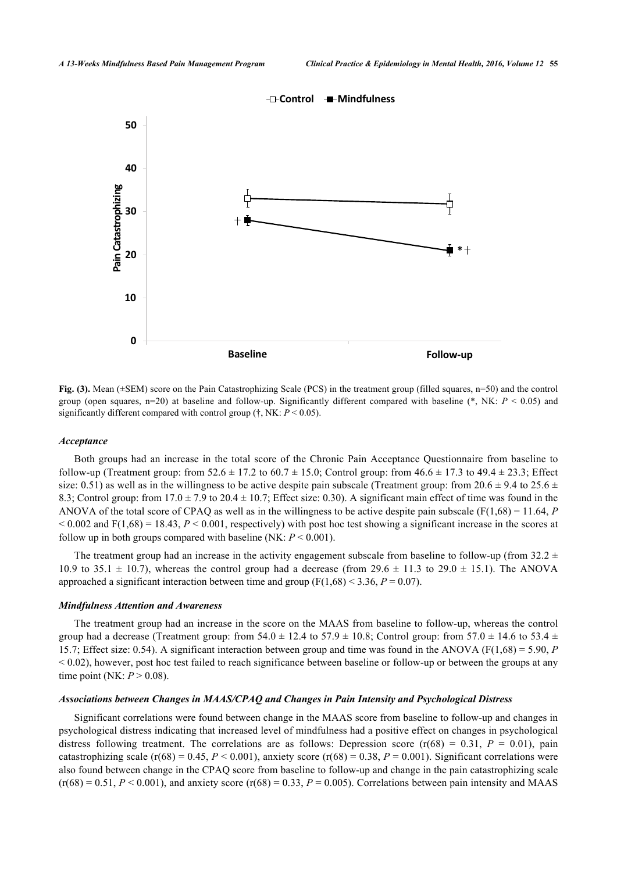

**Fig. (3).** Mean ( $\pm$ SEM) score on the Pain Catastrophizing Scale (PCS) in the treatment group (filled squares, n=50) and the control group (open squares,  $n=20$ ) at baseline and follow-up. Significantly different compared with baseline (\*, NK:  $P < 0.05$ ) and significantly different compared with control group (†, NK: *P* < 0.05).

#### *Acceptance*

Both groups had an increase in the total score of the Chronic Pain Acceptance Questionnaire from baseline to follow-up (Treatment group: from  $52.6 \pm 17.2$  to  $60.7 \pm 15.0$ ; Control group: from  $46.6 \pm 17.3$  to  $49.4 \pm 23.3$ ; Effect size: 0.51) as well as in the willingness to be active despite pain subscale (Treatment group: from  $20.6 \pm 9.4$  to  $25.6 \pm 1.5$ 8.3; Control group: from  $17.0 \pm 7.9$  to  $20.4 \pm 10.7$ ; Effect size: 0.30). A significant main effect of time was found in the ANOVA of the total score of CPAQ as well as in the willingness to be active despite pain subscale ( $F(1,68) = 11.64$ , *P*  $< 0.002$  and F(1,68) = 18.43,  $P < 0.001$ , respectively) with post hoc test showing a significant increase in the scores at follow up in both groups compared with baseline (NK: *P* < 0.001).

The treatment group had an increase in the activity engagement subscale from baseline to follow-up (from  $32.2 \pm$ 10.9 to 35.1  $\pm$  10.7), whereas the control group had a decrease (from 29.6  $\pm$  11.3 to 29.0  $\pm$  15.1). The ANOVA approached a significant interaction between time and group  $(F(1,68) < 3.36, P = 0.07)$ .

#### *Mindfulness Attention and Awareness*

The treatment group had an increase in the score on the MAAS from baseline to follow-up, whereas the control group had a decrease (Treatment group: from  $54.0 \pm 12.4$  to  $57.9 \pm 10.8$ ; Control group: from  $57.0 \pm 14.6$  to  $53.4 \pm 10.8$ ; 15.7; Effect size: 0.54). A significant interaction between group and time was found in the ANOVA (F(1,68) = 5.90, *P*  $< 0.02$ ), however, post hoc test failed to reach significance between baseline or follow-up or between the groups at any time point (NK:  $P > 0.08$ ).

#### *Associations between Changes in MAAS/CPAQ and Changes in Pain Intensity and Psychological Distress*

Significant correlations were found between change in the MAAS score from baseline to follow-up and changes in psychological distress indicating that increased level of mindfulness had a positive effect on changes in psychological distress following treatment. The correlations are as follows: Depression score  $(r(68) = 0.31, P = 0.01)$ , pain catastrophizing scale  $(r(68) = 0.45, P < 0.001)$ , anxiety score  $(r(68) = 0.38, P = 0.001)$ . Significant correlations were also found between change in the CPAQ score from baseline to follow-up and change in the pain catastrophizing scale  $(r(68) = 0.51, P < 0.001)$ , and anxiety score  $(r(68) = 0.33, P = 0.005)$ . Correlations between pain intensity and MAAS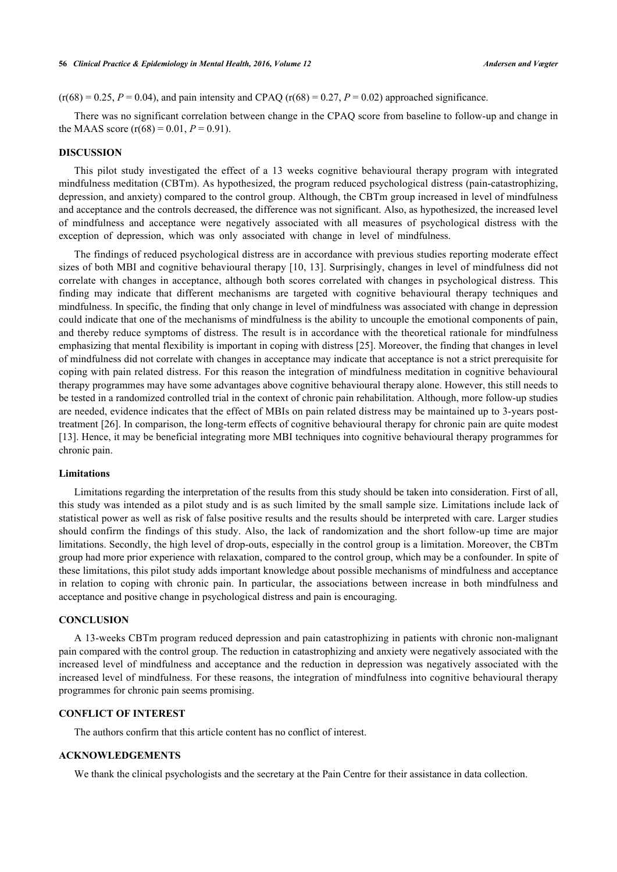$(r(68) = 0.25, P = 0.04)$ , and pain intensity and CPAQ  $(r(68) = 0.27, P = 0.02)$  approached significance.

There was no significant correlation between change in the CPAQ score from baseline to follow-up and change in the MAAS score  $(r(68) = 0.01, P = 0.91)$ .

## **DISCUSSION**

This pilot study investigated the effect of a 13 weeks cognitive behavioural therapy program with integrated mindfulness meditation (CBTm). As hypothesized, the program reduced psychological distress (pain-catastrophizing, depression, and anxiety) compared to the control group. Although, the CBTm group increased in level of mindfulness and acceptance and the controls decreased, the difference was not significant. Also, as hypothesized, the increased level of mindfulness and acceptance were negatively associated with all measures of psychological distress with the exception of depression, which was only associated with change in level of mindfulness.

The findings of reduced psychological distress are in accordance with previous studies reporting moderate effect sizes of both MBI and cognitive behavioural therapy [[10,](#page-8-9) [13\]](#page-8-10). Surprisingly, changes in level of mindfulness did not correlate with changes in acceptance, although both scores correlated with changes in psychological distress. This finding may indicate that different mechanisms are targeted with cognitive behavioural therapy techniques and mindfulness. In specific, the finding that only change in level of mindfulness was associated with change in depression could indicate that one of the mechanisms of mindfulness is the ability to uncouple the emotional components of pain, and thereby reduce symptoms of distress. The result is in accordance with the theoretical rationale for mindfulness emphasizing that mental flexibility is important in coping with distress [[25\]](#page-9-3). Moreover, the finding that changes in level of mindfulness did not correlate with changes in acceptance may indicate that acceptance is not a strict prerequisite for coping with pain related distress. For this reason the integration of mindfulness meditation in cognitive behavioural therapy programmes may have some advantages above cognitive behavioural therapy alone. However, this still needs to be tested in a randomized controlled trial in the context of chronic pain rehabilitation. Although, more follow-up studies are needed, evidence indicates that the effect of MBIs on pain related distress may be maintained up to 3-years posttreatment [[26\]](#page-9-4). In comparison, the long-term effects of cognitive behavioural therapy for chronic pain are quite modest [\[13](#page-8-10)]. Hence, it may be beneficial integrating more MBI techniques into cognitive behavioural therapy programmes for chronic pain.

## **Limitations**

Limitations regarding the interpretation of the results from this study should be taken into consideration. First of all, this study was intended as a pilot study and is as such limited by the small sample size. Limitations include lack of statistical power as well as risk of false positive results and the results should be interpreted with care. Larger studies should confirm the findings of this study. Also, the lack of randomization and the short follow-up time are major limitations. Secondly, the high level of drop-outs, especially in the control group is a limitation. Moreover, the CBTm group had more prior experience with relaxation, compared to the control group, which may be a confounder. In spite of these limitations, this pilot study adds important knowledge about possible mechanisms of mindfulness and acceptance in relation to coping with chronic pain. In particular, the associations between increase in both mindfulness and acceptance and positive change in psychological distress and pain is encouraging.

## **CONCLUSION**

A 13-weeks CBTm program reduced depression and pain catastrophizing in patients with chronic non-malignant pain compared with the control group. The reduction in catastrophizing and anxiety were negatively associated with the increased level of mindfulness and acceptance and the reduction in depression was negatively associated with the increased level of mindfulness. For these reasons, the integration of mindfulness into cognitive behavioural therapy programmes for chronic pain seems promising.

## **CONFLICT OF INTEREST**

The authors confirm that this article content has no conflict of interest.

## **ACKNOWLEDGEMENTS**

We thank the clinical psychologists and the secretary at the Pain Centre for their assistance in data collection.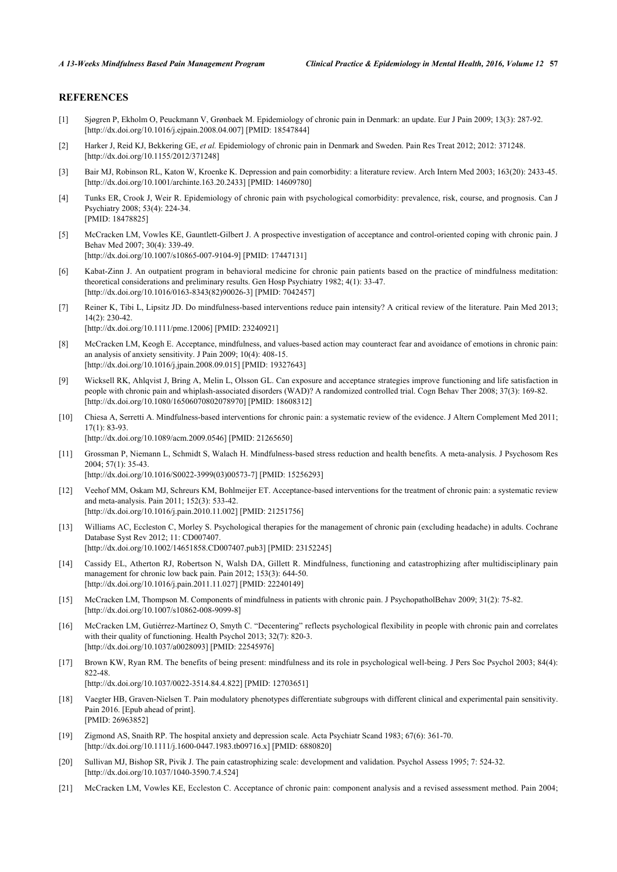## **REFERENCES**

- <span id="page-8-0"></span>[1] Sjøgren P, Ekholm O, Peuckmann V, Grønbaek M. Epidemiology of chronic pain in Denmark: an update. Eur J Pain 2009; 13(3): 287-92. [\[http://dx.doi.org/10.1016/j.ejpain.2008.04.007\]](http://dx.doi.org/10.1016/j.ejpain.2008.04.007) [PMID: [18547844](http://www.ncbi.nlm.nih.gov/pubmed/18547844)]
- <span id="page-8-1"></span>[2] Harker J, Reid KJ, Bekkering GE, *et al.* Epidemiology of chronic pain in Denmark and Sweden. Pain Res Treat 2012; 2012: 371248. [\[http://dx.doi.org/10.1155/2012/371248](http://dx.doi.org/10.1155/2012/371248)]
- <span id="page-8-2"></span>[3] Bair MJ, Robinson RL, Katon W, Kroenke K. Depression and pain comorbidity: a literature review. Arch Intern Med 2003; 163(20): 2433-45. [\[http://dx.doi.org/10.1001/archinte.163.20.2433\]](http://dx.doi.org/10.1001/archinte.163.20.2433) [PMID: [14609780](http://www.ncbi.nlm.nih.gov/pubmed/14609780)]
- <span id="page-8-3"></span>[4] Tunks ER, Crook J, Weir R. Epidemiology of chronic pain with psychological comorbidity: prevalence, risk, course, and prognosis. Can J Psychiatry 2008; 53(4): 224-34. [PMID: [18478825\]](http://www.ncbi.nlm.nih.gov/pubmed/18478825)
- <span id="page-8-4"></span>[5] McCracken LM, Vowles KE, Gauntlett-Gilbert J. A prospective investigation of acceptance and control-oriented coping with chronic pain. J Behav Med 2007; 30(4): 339-49.

[\[http://dx.doi.org/10.1007/s10865-007-9104-9\]](http://dx.doi.org/10.1007/s10865-007-9104-9) [PMID: [17447131](http://www.ncbi.nlm.nih.gov/pubmed/17447131)]

- <span id="page-8-5"></span>[6] Kabat-Zinn J. An outpatient program in behavioral medicine for chronic pain patients based on the practice of mindfulness meditation: theoretical considerations and preliminary results. Gen Hosp Psychiatry 1982; 4(1): 33-47. [\[http://dx.doi.org/10.1016/0163-8343\(82\)90026-3](http://dx.doi.org/10.1016/0163-8343(82)90026-3)] [PMID: [7042457](http://www.ncbi.nlm.nih.gov/pubmed/7042457)]
- <span id="page-8-6"></span>[7] Reiner K, Tibi L, Lipsitz JD. Do mindfulness-based interventions reduce pain intensity? A critical review of the literature. Pain Med 2013; 14(2): 230-42. [\[http://dx.doi.org/10.1111/pme.12006\]](http://dx.doi.org/10.1111/pme.12006) [PMID: [23240921](http://www.ncbi.nlm.nih.gov/pubmed/23240921)]
- <span id="page-8-7"></span>[8] McCracken LM, Keogh E. Acceptance, mindfulness, and values-based action may counteract fear and avoidance of emotions in chronic pain: an analysis of anxiety sensitivity. J Pain 2009; 10(4): 408-15. [\[http://dx.doi.org/10.1016/j.jpain.2008.09.015](http://dx.doi.org/10.1016/j.jpain.2008.09.015)] [PMID: [19327643\]](http://www.ncbi.nlm.nih.gov/pubmed/19327643)
- <span id="page-8-8"></span>[9] Wicksell RK, Ahlqvist J, Bring A, Melin L, Olsson GL. Can exposure and acceptance strategies improve functioning and life satisfaction in people with chronic pain and whiplash-associated disorders (WAD)? A randomized controlled trial. Cogn Behav Ther 2008; 37(3): 169-82. [\[http://dx.doi.org/10.1080/16506070802078970\]](http://dx.doi.org/10.1080/16506070802078970) [PMID: [18608312](http://www.ncbi.nlm.nih.gov/pubmed/18608312)]
- <span id="page-8-9"></span>[10] Chiesa A, Serretti A. Mindfulness-based interventions for chronic pain: a systematic review of the evidence. J Altern Complement Med 2011; 17(1): 83-93.

[\[http://dx.doi.org/10.1089/acm.2009.0546](http://dx.doi.org/10.1089/acm.2009.0546)] [PMID: [21265650\]](http://www.ncbi.nlm.nih.gov/pubmed/21265650)

- [11] Grossman P, Niemann L, Schmidt S, Walach H. Mindfulness-based stress reduction and health benefits. A meta-analysis. J Psychosom Res 2004; 57(1): 35-43.
	- [\[http://dx.doi.org/10.1016/S0022-3999\(03\)00573-7\]](http://dx.doi.org/10.1016/S0022-3999(03)00573-7) [PMID: [15256293](http://www.ncbi.nlm.nih.gov/pubmed/15256293)]
- <span id="page-8-14"></span>[12] Veehof MM, Oskam MJ, Schreurs KM, Bohlmeijer ET. Acceptance-based interventions for the treatment of chronic pain: a systematic review and meta-analysis. Pain 2011; 152(3): 533-42. [\[http://dx.doi.org/10.1016/j.pain.2010.11.002\]](http://dx.doi.org/10.1016/j.pain.2010.11.002) [PMID: [21251756](http://www.ncbi.nlm.nih.gov/pubmed/21251756)]
- <span id="page-8-10"></span>[13] Williams AC, Eccleston C, Morley S. Psychological therapies for the management of chronic pain (excluding headache) in adults. Cochrane Database Syst Rev 2012; 11: CD007407. [\[http://dx.doi.org/10.1002/14651858.CD007407.pub3\]](http://dx.doi.org/10.1002/14651858.CD007407.pub3) [PMID: [23152245](http://www.ncbi.nlm.nih.gov/pubmed/23152245)]
- <span id="page-8-11"></span>[14] Cassidy EL, Atherton RJ, Robertson N, Walsh DA, Gillett R. Mindfulness, functioning and catastrophizing after multidisciplinary pain management for chronic low back pain. Pain 2012; 153(3): 644-50. [\[http://dx.doi.org/10.1016/j.pain.2011.11.027\]](http://dx.doi.org/10.1016/j.pain.2011.11.027) [PMID: [22240149](http://www.ncbi.nlm.nih.gov/pubmed/22240149)]
- <span id="page-8-12"></span>[15] McCracken LM, Thompson M. Components of mindfulness in patients with chronic pain. J PsychopatholBehav 2009; 31(2): 75-82. [\[http://dx.doi.org/10.1007/s10862-008-9099-8\]](http://dx.doi.org/10.1007/s10862-008-9099-8)
- <span id="page-8-13"></span>[16] McCracken LM, Gutiérrez-Martínez O, Smyth C. "Decentering" reflects psychological flexibility in people with chronic pain and correlates with their quality of functioning. Health Psychol 2013; 32(7): 820-3. [\[http://dx.doi.org/10.1037/a0028093](http://dx.doi.org/10.1037/a0028093)] [PMID: [22545976\]](http://www.ncbi.nlm.nih.gov/pubmed/22545976)
- <span id="page-8-15"></span>[17] Brown KW, Ryan RM. The benefits of being present: mindfulness and its role in psychological well-being. J Pers Soc Psychol 2003; 84(4): 822-48.

[\[http://dx.doi.org/10.1037/0022-3514.84.4.822](http://dx.doi.org/10.1037/0022-3514.84.4.822)] [PMID: [12703651](http://www.ncbi.nlm.nih.gov/pubmed/12703651)]

- <span id="page-8-16"></span>[18] Vaegter HB, Graven-Nielsen T. Pain modulatory phenotypes differentiate subgroups with different clinical and experimental pain sensitivity. Pain 2016. [Epub ahead of print]. [PMID: [26963852\]](http://www.ncbi.nlm.nih.gov/pubmed/26963852)
- <span id="page-8-17"></span>[19] Zigmond AS, Snaith RP. The hospital anxiety and depression scale. Acta Psychiatr Scand 1983; 67(6): 361-70. [\[http://dx.doi.org/10.1111/j.1600-0447.1983.tb09716.x\]](http://dx.doi.org/10.1111/j.1600-0447.1983.tb09716.x) [PMID: [6880820](http://www.ncbi.nlm.nih.gov/pubmed/6880820)]
- <span id="page-8-18"></span>[20] Sullivan MJ, Bishop SR, Pivik J. The pain catastrophizing scale: development and validation. Psychol Assess 1995; 7: 524-32. [\[http://dx.doi.org/10.1037/1040-3590.7.4.524](http://dx.doi.org/10.1037/1040-3590.7.4.524)]
- <span id="page-8-19"></span>[21] McCracken LM, Vowles KE, Eccleston C. Acceptance of chronic pain: component analysis and a revised assessment method. Pain 2004;